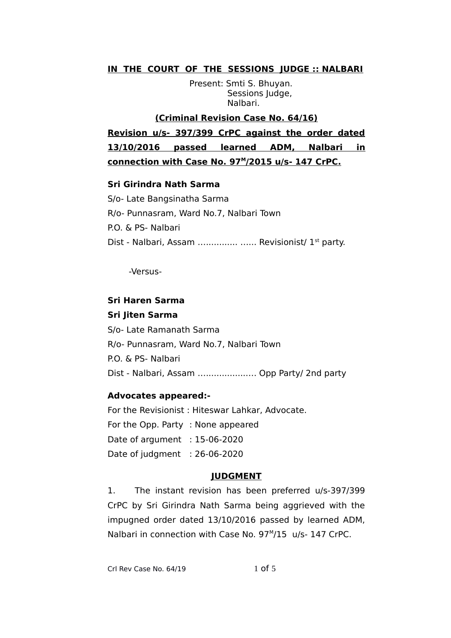## **IN THE COURT OF THE SESSIONS JUDGE :: NALBARI**

Present: Smti S. Bhuyan. Sessions Judge, Nalbari.

## **(Criminal Revision Case No. 64/16)**

**Revision u/s- 397/399 CrPC against the order dated 13/10/2016 passed learned ADM, Nalbari in** connection with Case No. 97<sup>M</sup>/2015 u/s- 147 CrPC.

#### **Sri Girindra Nath Sarma**

S/o- Late Bangsinatha Sarma R/o- Punnasram, Ward No.7, Nalbari Town P.O. & PS- Nalbari Dist - Nalbari, Assam ........................ Revisionist/  $1<sup>st</sup>$  party.

-Versus-

## **Sri Haren Sarma**

#### **Sri Jiten Sarma**

S/o- Late Ramanath Sarma R/o- Punnasram, Ward No.7, Nalbari Town P.O. & PS- Nalbari Dist - Nalbari, Assam …...............…. Opp Party/ 2nd party

#### **Advocates appeared:-**

For the Revisionist : Hiteswar Lahkar, Advocate. For the Opp. Party : None appeared Date of argument : 15-06-2020 Date of judgment : 26-06-2020

#### **JUDGMENT**

1. The instant revision has been preferred u/s-397/399 CrPC by Sri Girindra Nath Sarma being aggrieved with the impugned order dated 13/10/2016 passed by learned ADM, Nalbari in connection with Case No. 97<sup>M</sup>/15 u/s- 147 CrPC.

Crl Rev Case No.  $64/19$  1 of 5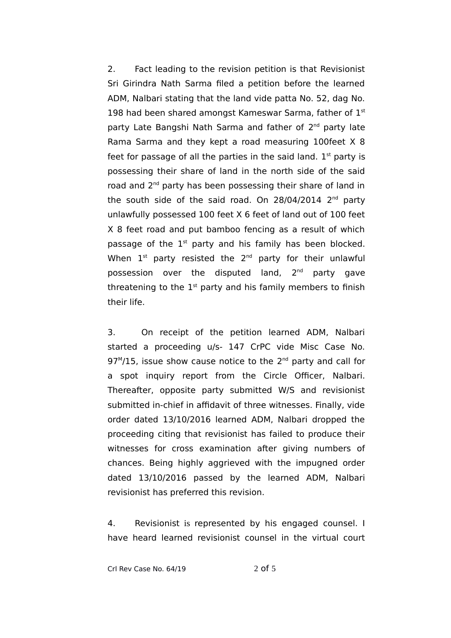2. Fact leading to the revision petition is that Revisionist Sri Girindra Nath Sarma filed a petition before the learned ADM, Nalbari stating that the land vide patta No. 52, dag No. 198 had been shared amongst Kameswar Sarma, father of  $1<sup>st</sup>$ party Late Bangshi Nath Sarma and father of 2<sup>nd</sup> party late Rama Sarma and they kept a road measuring 100feet X 8 feet for passage of all the parties in the said land.  $1<sup>st</sup>$  party is possessing their share of land in the north side of the said road and 2<sup>nd</sup> party has been possessing their share of land in the south side of the said road. On 28/04/2014 2<sup>nd</sup> party unlawfully possessed 100 feet X 6 feet of land out of 100 feet X 8 feet road and put bamboo fencing as a result of which passage of the  $1<sup>st</sup>$  party and his family has been blocked. When  $1^{st}$  party resisted the  $2^{nd}$  party for their unlawful possession over the disputed land, 2<sup>nd</sup> party gave threatening to the  $1<sup>st</sup>$  party and his family members to finish their life.

3. On receipt of the petition learned ADM, Nalbari started a proceeding u/s- 147 CrPC vide Misc Case No.  $97^{\text{M}}$ /15, issue show cause notice to the  $2^{\text{nd}}$  party and call for a spot inquiry report from the Circle Officer, Nalbari. Thereafter, opposite party submitted W/S and revisionist submitted in-chief in affidavit of three witnesses. Finally, vide order dated 13/10/2016 learned ADM, Nalbari dropped the proceeding citing that revisionist has failed to produce their witnesses for cross examination after giving numbers of chances. Being highly aggrieved with the impugned order dated 13/10/2016 passed by the learned ADM, Nalbari revisionist has preferred this revision.

4. Revisionist is represented by his engaged counsel. I have heard learned revisionist counsel in the virtual court

Crl Rev Case No. 64/19 2 of 5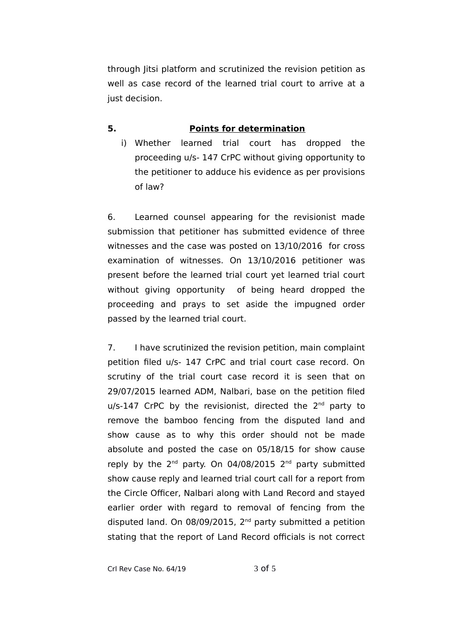through Jitsi platform and scrutinized the revision petition as well as case record of the learned trial court to arrive at a just decision.

# **5. Points for determination**

i) Whether learned trial court has dropped the proceeding u/s- 147 CrPC without giving opportunity to the petitioner to adduce his evidence as per provisions of law?

6. Learned counsel appearing for the revisionist made submission that petitioner has submitted evidence of three witnesses and the case was posted on 13/10/2016 for cross examination of witnesses. On 13/10/2016 petitioner was present before the learned trial court yet learned trial court without giving opportunity of being heard dropped the proceeding and prays to set aside the impugned order passed by the learned trial court.

7. I have scrutinized the revision petition, main complaint petition filed u/s- 147 CrPC and trial court case record. On scrutiny of the trial court case record it is seen that on 29/07/2015 learned ADM, Nalbari, base on the petition filed u/s-147 CrPC by the revisionist, directed the 2<sup>nd</sup> party to remove the bamboo fencing from the disputed land and show cause as to why this order should not be made absolute and posted the case on 05/18/15 for show cause reply by the  $2<sup>nd</sup>$  party. On 04/08/2015  $2<sup>nd</sup>$  party submitted show cause reply and learned trial court call for a report from the Circle Officer, Nalbari along with Land Record and stayed earlier order with regard to removal of fencing from the disputed land. On 08/09/2015, 2<sup>nd</sup> party submitted a petition stating that the report of Land Record officials is not correct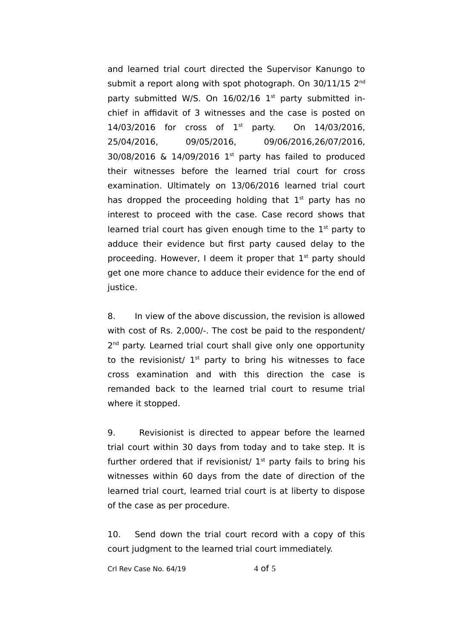and learned trial court directed the Supervisor Kanungo to submit a report along with spot photograph. On 30/11/15 2<sup>nd</sup> party submitted W/S. On  $16/02/16$  1<sup>st</sup> party submitted inchief in affidavit of 3 witnesses and the case is posted on  $14/03/2016$  for cross of  $1<sup>st</sup>$  party. On 14/03/2016. 25/04/2016, 09/05/2016, 09/06/2016,26/07/2016, 30/08/2016 & 14/09/2016 1st party has failed to produced their witnesses before the learned trial court for cross examination. Ultimately on 13/06/2016 learned trial court has dropped the proceeding holding that  $1<sup>st</sup>$  party has no interest to proceed with the case. Case record shows that learned trial court has given enough time to the  $1<sup>st</sup>$  party to adduce their evidence but first party caused delay to the proceeding. However, I deem it proper that 1<sup>st</sup> party should get one more chance to adduce their evidence for the end of justice.

8. In view of the above discussion, the revision is allowed with cost of Rs. 2,000/-. The cost be paid to the respondent/ 2<sup>nd</sup> party. Learned trial court shall give only one opportunity to the revisionist/  $1<sup>st</sup>$  party to bring his witnesses to face cross examination and with this direction the case is remanded back to the learned trial court to resume trial where it stopped.

9. Revisionist is directed to appear before the learned trial court within 30 days from today and to take step. It is further ordered that if revisionist/  $1<sup>st</sup>$  party fails to bring his witnesses within 60 days from the date of direction of the learned trial court, learned trial court is at liberty to dispose of the case as per procedure.

10. Send down the trial court record with a copy of this court judgment to the learned trial court immediately.

Crl Rev Case No.  $64/19$  4 of 5